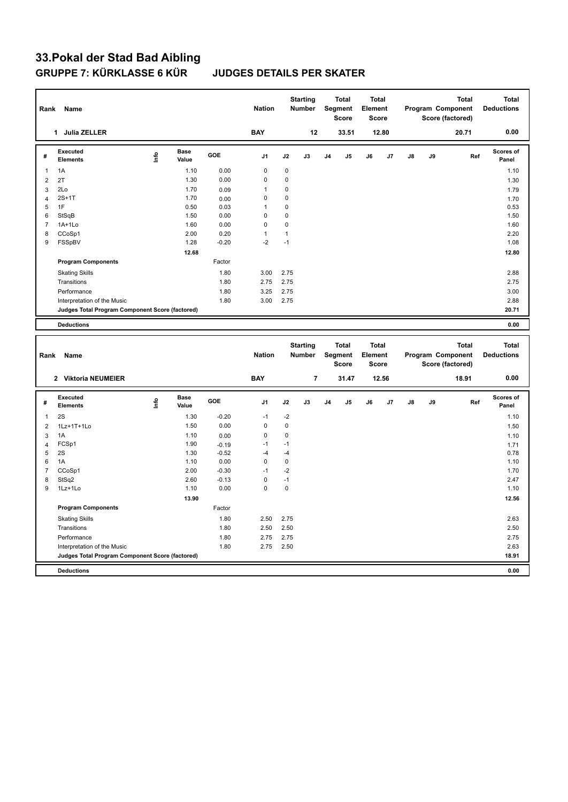# **33.Pokal der Stad Bad Aibling**

### **JUDGES DETAILS PER SKATER**

| Rank           | Name                                            |      |                      |         | <b>Nation</b> |              | <b>Starting</b><br><b>Number</b> |                | <b>Total</b><br>Segment<br><b>Score</b> | <b>Total</b><br>Element<br><b>Score</b> |       |    |    | <b>Total</b><br>Program Component<br>Score (factored) |     | <b>Total</b><br><b>Deductions</b> |
|----------------|-------------------------------------------------|------|----------------------|---------|---------------|--------------|----------------------------------|----------------|-----------------------------------------|-----------------------------------------|-------|----|----|-------------------------------------------------------|-----|-----------------------------------|
|                | 1 Julia ZELLER                                  |      |                      |         | <b>BAY</b>    |              | 12                               |                | 33.51                                   |                                         | 12.80 |    |    | 20.71                                                 |     | 0.00                              |
| #              | <b>Executed</b><br><b>Elements</b>              | Info | <b>Base</b><br>Value | GOE     | J1            | J2           | J3                               | J4             | J5                                      | J6                                      | J7    | J8 | J9 |                                                       | Ref | Scores of<br>Panel                |
| $\mathbf{1}$   | 1A                                              |      | 1.10                 | 0.00    | $\mathbf 0$   | $\pmb{0}$    |                                  |                |                                         |                                         |       |    |    |                                                       |     | 1.10                              |
| $\overline{2}$ | 2T                                              |      | 1.30                 | 0.00    | $\mathbf 0$   | $\mathbf 0$  |                                  |                |                                         |                                         |       |    |    |                                                       |     | 1.30                              |
| $\mathbf{3}$   | 2Lo                                             |      | 1.70                 | 0.09    | $\mathbf{1}$  | $\mathbf 0$  |                                  |                |                                         |                                         |       |    |    |                                                       |     | 1.79                              |
| $\overline{4}$ | $2S+1T$                                         |      | 1.70                 | 0.00    | $\mathbf 0$   | $\mathbf 0$  |                                  |                |                                         |                                         |       |    |    |                                                       |     | 1.70                              |
| 5              | 1F                                              |      | 0.50                 | 0.03    | $\mathbf{1}$  | $\mathbf 0$  |                                  |                |                                         |                                         |       |    |    |                                                       |     | 0.53                              |
| 6              | StSqB                                           |      | 1.50                 | 0.00    | $\mathbf 0$   | $\mathbf 0$  |                                  |                |                                         |                                         |       |    |    |                                                       |     | 1.50                              |
| $\overline{7}$ | 1A+1Lo                                          |      | 1.60                 | 0.00    | $\mathbf 0$   | $\mathbf 0$  |                                  |                |                                         |                                         |       |    |    |                                                       |     | 1.60                              |
| 8              | CCoSp1                                          |      | 2.00                 | 0.20    | $\mathbf{1}$  | $\mathbf{1}$ |                                  |                |                                         |                                         |       |    |    |                                                       |     | 2.20                              |
| 9              | FSSpBV                                          |      | 1.28                 | $-0.20$ | $-2$          | $-1$         |                                  |                |                                         |                                         |       |    |    |                                                       |     | 1.08                              |
|                |                                                 |      | 12.68                |         |               |              |                                  |                |                                         |                                         |       |    |    |                                                       |     | 12.80                             |
|                | <b>Program Components</b>                       |      |                      | Factor  |               |              |                                  |                |                                         |                                         |       |    |    |                                                       |     |                                   |
|                | <b>Skating Skills</b>                           |      |                      | 1.80    | 3.00          | 2.75         |                                  |                |                                         |                                         |       |    |    |                                                       |     | 2.88                              |
|                | Transitions                                     |      |                      | 1.80    | 2.75          | 2.75         |                                  |                |                                         |                                         |       |    |    |                                                       |     | 2.75                              |
|                | Performance                                     |      |                      | 1.80    | 3.25          | 2.75         |                                  |                |                                         |                                         |       |    |    |                                                       |     | 3.00                              |
|                | Interpretation of the Music                     |      |                      | 1.80    | 3.00          | 2.75         |                                  |                |                                         |                                         |       |    |    |                                                       |     | 2.88                              |
|                | Judges Total Program Component Score (factored) |      |                      |         |               |              |                                  |                |                                         |                                         |       |    |    |                                                       |     | 20.71                             |
|                | <b>Deductions</b>                               |      |                      |         |               |              |                                  |                |                                         |                                         |       |    |    |                                                       |     | 0.00                              |
|                |                                                 |      |                      |         |               |              |                                  |                |                                         |                                         |       |    |    |                                                       |     |                                   |
| Rank           | Name                                            |      |                      |         | <b>Nation</b> |              | <b>Starting</b><br>Number        |                | <b>Total</b><br>Segment                 | <b>Total</b><br>Element                 |       |    |    | <b>Total</b><br>Program Component                     |     | <b>Total</b><br><b>Deductions</b> |
|                | 2 Viktoria NEUMEIER                             |      |                      |         | <b>BAY</b>    |              | $\overline{7}$                   |                | <b>Score</b><br>31.47                   | <b>Score</b>                            | 12.56 |    |    | Score (factored)<br>18.91                             |     | 0.00                              |
| #              | Executed<br>Elements                            | Info | <b>Base</b><br>Value | GOE     | J1            | J2           | J3                               | J <sub>4</sub> | J5                                      | J6                                      | J7    | J8 | J9 |                                                       | Ref | Scores of<br>Panel                |
| $\mathbf{1}$   | 2S                                              |      | 1.30                 | $-0.20$ | $-1$          | $-2$         |                                  |                |                                         |                                         |       |    |    |                                                       |     | 1.10                              |
| $\overline{2}$ | 1Lz+1T+1Lo                                      |      | 1.50                 | 0.00    | $\mathbf 0$   | $\mathbf 0$  |                                  |                |                                         |                                         |       |    |    |                                                       |     | 1.50                              |
| 3              | 1A                                              |      | 1.10                 | 0.00    | $\mathbf 0$   | $\mathbf 0$  |                                  |                |                                         |                                         |       |    |    |                                                       |     | 1.10                              |
| $\overline{4}$ | FCSp1                                           |      | 1.90                 | $-0.19$ | $-1$          | $-1$         |                                  |                |                                         |                                         |       |    |    |                                                       |     | 1.71                              |
| 5              | 2S                                              |      | 1.30                 | $-0.52$ | $-4$          | $-4$         |                                  |                |                                         |                                         |       |    |    |                                                       |     | 0.78                              |
| 6              | 1A                                              |      | 1.10                 | 0.00    | $\mathbf 0$   | 0            |                                  |                |                                         |                                         |       |    |    |                                                       |     | 1.10                              |
| $\overline{7}$ | CCoSp1                                          |      | 2.00                 | $-0.30$ | $-1$          | $-2$         |                                  |                |                                         |                                         |       |    |    |                                                       |     | 1.70                              |
| 8              | StSq2                                           |      | 2.60                 | $-0.13$ | $\mathbf 0$   | $-1$         |                                  |                |                                         |                                         |       |    |    |                                                       |     | 2.47                              |
| 9              | 1Lz+1Lo                                         |      | 1.10                 | 0.00    | 0             | $\mathbf 0$  |                                  |                |                                         |                                         |       |    |    |                                                       |     | 1.10                              |
|                |                                                 |      | 13.90                |         |               |              |                                  |                |                                         |                                         |       |    |    |                                                       |     | 12.56                             |
|                | <b>Program Components</b>                       |      |                      | Factor  |               |              |                                  |                |                                         |                                         |       |    |    |                                                       |     |                                   |
|                | <b>Skating Skills</b>                           |      |                      | 1.80    | 2.50          | 2.75         |                                  |                |                                         |                                         |       |    |    |                                                       |     | 2.63                              |
|                | Transitions                                     |      |                      | 1.80    | 2.50          | 2.50         |                                  |                |                                         |                                         |       |    |    |                                                       |     | 2.50                              |
|                | Performance                                     |      |                      | 1.80    | 2.75          | 2.75         |                                  |                |                                         |                                         |       |    |    |                                                       |     | 2.75                              |
|                | Interpretation of the Music                     |      |                      | 1.80    | 2.75          | 2.50         |                                  |                |                                         |                                         |       |    |    |                                                       |     | 2.63                              |
|                | Judges Total Program Component Score (factored) |      |                      |         |               |              |                                  |                |                                         |                                         |       |    |    |                                                       |     | 18.91                             |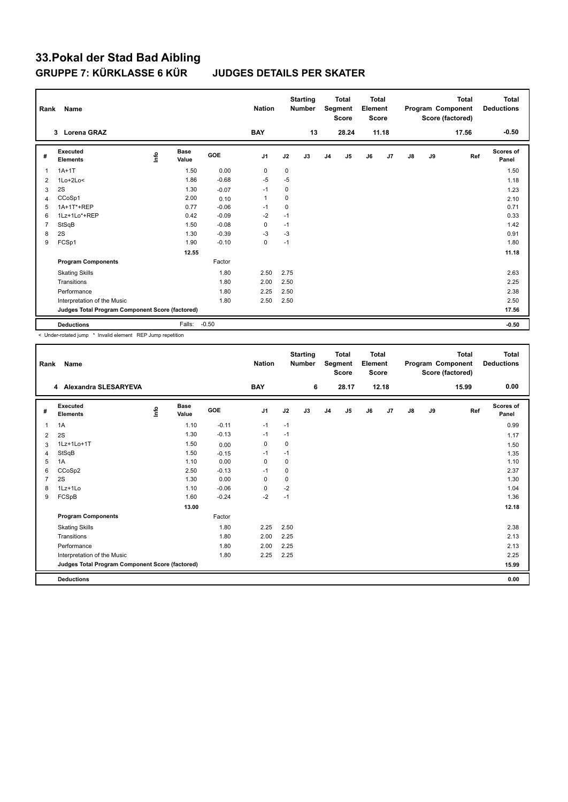## **33.Pokal der Stad Bad Aibling GRUPPE 7: KÜRKLASSE 6 KÜR JUDGES DETAILS PER SKATER**

| Rank           | <b>Name</b>                                     |      |                      |            | <b>Nation</b> |             | <b>Starting</b><br><b>Number</b> |                | Total<br>Segment<br><b>Score</b> | <b>Total</b><br>Element<br><b>Score</b> |       |    |    | <b>Total</b><br>Program Component<br>Score (factored) | <b>Total</b><br><b>Deductions</b> |
|----------------|-------------------------------------------------|------|----------------------|------------|---------------|-------------|----------------------------------|----------------|----------------------------------|-----------------------------------------|-------|----|----|-------------------------------------------------------|-----------------------------------|
|                | 3 Lorena GRAZ                                   |      |                      |            | <b>BAY</b>    |             | 13                               |                | 28.24                            |                                         | 11.18 |    |    | 17.56                                                 | $-0.50$                           |
| #              | <b>Executed</b><br><b>Elements</b>              | lnfo | <b>Base</b><br>Value | <b>GOE</b> | J1            | J2          | J3                               | J <sub>4</sub> | J5                               | J6                                      | J7    | J8 | J9 | Ref                                                   | <b>Scores of</b><br>Panel         |
| $\overline{1}$ | $1A+1T$                                         |      | 1.50                 | 0.00       | $\mathbf 0$   | $\mathbf 0$ |                                  |                |                                  |                                         |       |    |    |                                                       | 1.50                              |
| 2              | $1Lo+2Lo<$                                      |      | 1.86                 | $-0.68$    | -5            | $-5$        |                                  |                |                                  |                                         |       |    |    |                                                       | 1.18                              |
| 3              | 2S                                              |      | 1.30                 | $-0.07$    | $-1$          | 0           |                                  |                |                                  |                                         |       |    |    |                                                       | 1.23                              |
| 4              | CCoSp1                                          |      | 2.00                 | 0.10       | $\mathbf{1}$  | 0           |                                  |                |                                  |                                         |       |    |    |                                                       | 2.10                              |
| 5              | 1A+1T*+REP                                      |      | 0.77                 | $-0.06$    | $-1$          | 0           |                                  |                |                                  |                                         |       |    |    |                                                       | 0.71                              |
| 6              | 1Lz+1Lo*+REP                                    |      | 0.42                 | $-0.09$    | $-2$          | $-1$        |                                  |                |                                  |                                         |       |    |    |                                                       | 0.33                              |
| $\overline{7}$ | StSqB                                           |      | 1.50                 | $-0.08$    | 0             | $-1$        |                                  |                |                                  |                                         |       |    |    |                                                       | 1.42                              |
| 8              | 2S                                              |      | 1.30                 | $-0.39$    | $-3$          | $-3$        |                                  |                |                                  |                                         |       |    |    |                                                       | 0.91                              |
| 9              | FCSp1                                           |      | 1.90                 | $-0.10$    | 0             | $-1$        |                                  |                |                                  |                                         |       |    |    |                                                       | 1.80                              |
|                |                                                 |      | 12.55                |            |               |             |                                  |                |                                  |                                         |       |    |    |                                                       | 11.18                             |
|                | <b>Program Components</b>                       |      |                      | Factor     |               |             |                                  |                |                                  |                                         |       |    |    |                                                       |                                   |
|                | <b>Skating Skills</b>                           |      |                      | 1.80       | 2.50          | 2.75        |                                  |                |                                  |                                         |       |    |    |                                                       | 2.63                              |
|                | Transitions                                     |      |                      | 1.80       | 2.00          | 2.50        |                                  |                |                                  |                                         |       |    |    |                                                       | 2.25                              |
|                | Performance                                     |      |                      | 1.80       | 2.25          | 2.50        |                                  |                |                                  |                                         |       |    |    |                                                       | 2.38                              |
|                | Interpretation of the Music                     |      |                      | 1.80       | 2.50          | 2.50        |                                  |                |                                  |                                         |       |    |    |                                                       | 2.50                              |
|                | Judges Total Program Component Score (factored) |      |                      |            |               |             |                                  |                |                                  |                                         |       |    |    |                                                       | 17.56                             |
|                | <b>Deductions</b>                               |      | Falls:               | $-0.50$    |               |             |                                  |                |                                  |                                         |       |    |    |                                                       | $-0.50$                           |

< Under-rotated jump \* Invalid element REP Jump repetition

| Rank         | <b>Name</b>                                     |      |                      |         | <b>Nation</b> |      | <b>Starting</b><br><b>Number</b> |                | <b>Total</b><br>Segment<br><b>Score</b> | <b>Total</b><br>Element<br><b>Score</b> |       |               |    | <b>Total</b><br>Program Component<br>Score (factored) | <b>Total</b><br><b>Deductions</b> |
|--------------|-------------------------------------------------|------|----------------------|---------|---------------|------|----------------------------------|----------------|-----------------------------------------|-----------------------------------------|-------|---------------|----|-------------------------------------------------------|-----------------------------------|
|              | 4 Alexandra SLESARYEVA                          |      |                      |         | <b>BAY</b>    |      | 6                                |                | 28.17                                   |                                         | 12.18 |               |    | 15.99                                                 | 0.00                              |
| #            | Executed<br><b>Elements</b>                     | ١nfo | <b>Base</b><br>Value | GOE     | J1            | J2   | J3                               | J <sub>4</sub> | J5                                      | J6                                      | J7    | $\mathsf{J}8$ | J9 | Ref                                                   | <b>Scores of</b><br>Panel         |
| $\mathbf{1}$ | 1A                                              |      | 1.10                 | $-0.11$ | $-1$          | $-1$ |                                  |                |                                         |                                         |       |               |    |                                                       | 0.99                              |
| 2            | 2S                                              |      | 1.30                 | $-0.13$ | $-1$          | $-1$ |                                  |                |                                         |                                         |       |               |    |                                                       | 1.17                              |
| 3            | 1Lz+1Lo+1T                                      |      | 1.50                 | 0.00    | $\mathbf 0$   | 0    |                                  |                |                                         |                                         |       |               |    |                                                       | 1.50                              |
| 4            | StSqB                                           |      | 1.50                 | $-0.15$ | $-1$          | $-1$ |                                  |                |                                         |                                         |       |               |    |                                                       | 1.35                              |
| 5            | 1A                                              |      | 1.10                 | 0.00    | $\mathbf 0$   | 0    |                                  |                |                                         |                                         |       |               |    |                                                       | 1.10                              |
| 6            | CCoSp2                                          |      | 2.50                 | $-0.13$ | $-1$          | 0    |                                  |                |                                         |                                         |       |               |    |                                                       | 2.37                              |
| 7            | 2S                                              |      | 1.30                 | 0.00    | $\mathbf 0$   | 0    |                                  |                |                                         |                                         |       |               |    |                                                       | 1.30                              |
| 8            | 1Lz+1Lo                                         |      | 1.10                 | $-0.06$ | 0             | $-2$ |                                  |                |                                         |                                         |       |               |    |                                                       | 1.04                              |
| 9            | FCSpB                                           |      | 1.60                 | $-0.24$ | $-2$          | $-1$ |                                  |                |                                         |                                         |       |               |    |                                                       | 1.36                              |
|              |                                                 |      | 13.00                |         |               |      |                                  |                |                                         |                                         |       |               |    |                                                       | 12.18                             |
|              | <b>Program Components</b>                       |      |                      | Factor  |               |      |                                  |                |                                         |                                         |       |               |    |                                                       |                                   |
|              | <b>Skating Skills</b>                           |      |                      | 1.80    | 2.25          | 2.50 |                                  |                |                                         |                                         |       |               |    |                                                       | 2.38                              |
|              | Transitions                                     |      |                      | 1.80    | 2.00          | 2.25 |                                  |                |                                         |                                         |       |               |    |                                                       | 2.13                              |
|              | Performance                                     |      |                      | 1.80    | 2.00          | 2.25 |                                  |                |                                         |                                         |       |               |    |                                                       | 2.13                              |
|              | Interpretation of the Music                     |      |                      | 1.80    | 2.25          | 2.25 |                                  |                |                                         |                                         |       |               |    |                                                       | 2.25                              |
|              | Judges Total Program Component Score (factored) |      |                      |         |               |      |                                  |                |                                         |                                         |       |               |    |                                                       | 15.99                             |
|              | <b>Deductions</b>                               |      |                      |         |               |      |                                  |                |                                         |                                         |       |               |    |                                                       | 0.00                              |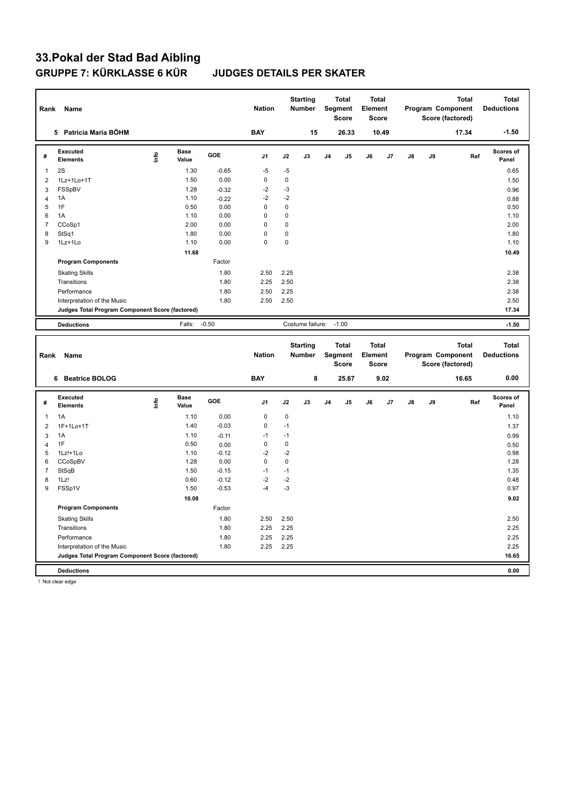# **33.Pokal der Stad Bad Aibling**

### **JUDGES DETAILS PER SKATER**

| Rank             | Name                                            |      |                      |         | <b>Nation</b>           |             | <b>Starting</b><br>Number |    | <b>Total</b><br>Segment<br>Score        | <b>Total</b><br>Element<br><b>Score</b> |       |    |    | <b>Total</b><br>Program Component<br>Score (factored) |     | <b>Total</b><br><b>Deductions</b> |
|------------------|-------------------------------------------------|------|----------------------|---------|-------------------------|-------------|---------------------------|----|-----------------------------------------|-----------------------------------------|-------|----|----|-------------------------------------------------------|-----|-----------------------------------|
|                  | 5 Patricia Maria BÖHM                           |      |                      |         | <b>BAY</b>              |             | 15                        |    | 26.33                                   |                                         | 10.49 |    |    | 17.34                                                 |     | $-1.50$                           |
| #                | <b>Executed</b><br><b>Elements</b>              | lnfo | <b>Base</b><br>Value | GOE     | J1                      | J2          | J3                        | J4 | J <sub>5</sub>                          | J6                                      | J7    | J8 | J9 |                                                       | Ref | Scores of<br>Panel                |
| $\mathbf{1}$     | 2S                                              |      | 1.30                 | $-0.65$ | $-5$                    | $-5$        |                           |    |                                         |                                         |       |    |    |                                                       |     | 0.65                              |
| $\overline{2}$   | 1Lz+1Lo+1T                                      |      | 1.50                 | 0.00    | $\pmb{0}$               | 0           |                           |    |                                         |                                         |       |    |    |                                                       |     | 1.50                              |
| 3                | FSSpBV                                          |      | 1.28                 | $-0.32$ | $-2$                    | $-3$        |                           |    |                                         |                                         |       |    |    |                                                       |     | 0.96                              |
| $\overline{4}$   | 1A                                              |      | 1.10                 | $-0.22$ | $-2$                    | $-2$        |                           |    |                                         |                                         |       |    |    |                                                       |     | 0.88                              |
| 5                | 1F                                              |      | 0.50                 | 0.00    | $\mathbf 0$             | 0           |                           |    |                                         |                                         |       |    |    |                                                       |     | 0.50                              |
| 6                | 1A                                              |      | 1.10                 | 0.00    | $\mathbf 0$             | 0           |                           |    |                                         |                                         |       |    |    |                                                       |     | 1.10                              |
| $\overline{7}$   | CCoSp1                                          |      | 2.00                 | 0.00    | $\mathbf 0$             | 0           |                           |    |                                         |                                         |       |    |    |                                                       |     | 2.00                              |
| 8                | StSq1                                           |      | 1.80                 | 0.00    | $\mathbf 0$<br>$\Omega$ | 0           |                           |    |                                         |                                         |       |    |    |                                                       |     | 1.80                              |
| 9                | 1Lz+1Lo                                         |      | 1.10                 | 0.00    |                         | 0           |                           |    |                                         |                                         |       |    |    |                                                       |     | 1.10                              |
|                  |                                                 |      | 11.68                |         |                         |             |                           |    |                                         |                                         |       |    |    |                                                       |     | 10.49                             |
|                  | <b>Program Components</b>                       |      |                      | Factor  |                         |             |                           |    |                                         |                                         |       |    |    |                                                       |     |                                   |
|                  | <b>Skating Skills</b>                           |      |                      | 1.80    | 2.50                    | 2.25        |                           |    |                                         |                                         |       |    |    |                                                       |     | 2.38                              |
|                  | Transitions                                     |      |                      | 1.80    | 2.25                    | 2.50        |                           |    |                                         |                                         |       |    |    |                                                       |     | 2.38                              |
|                  | Performance                                     |      |                      | 1.80    | 2.50                    | 2.25        |                           |    |                                         |                                         |       |    |    |                                                       |     | 2.38                              |
|                  | Interpretation of the Music                     |      |                      | 1.80    | 2.50                    | 2.50        |                           |    |                                         |                                         |       |    |    |                                                       |     | 2.50                              |
|                  | Judges Total Program Component Score (factored) |      |                      |         |                         |             |                           |    |                                         |                                         |       |    |    |                                                       |     | 17.34                             |
|                  | <b>Deductions</b>                               |      | Falls:               | $-0.50$ |                         |             | Costume failure:          |    | $-1.00$                                 |                                         |       |    |    |                                                       |     | $-1.50$                           |
|                  |                                                 |      |                      |         |                         |             |                           |    |                                         |                                         |       |    |    |                                                       |     |                                   |
| Rank             | Name                                            |      |                      |         | <b>Nation</b>           |             | <b>Starting</b><br>Number |    | <b>Total</b><br>Segment<br><b>Score</b> | <b>Total</b><br>Element<br><b>Score</b> |       |    |    | <b>Total</b><br>Program Component<br>Score (factored) |     | <b>Total</b><br><b>Deductions</b> |
|                  | 6 Beatrice BOLOG                                |      |                      |         | <b>BAY</b>              |             | 8                         |    | 25.67                                   |                                         | 9.02  |    |    | 16.65                                                 |     | 0.00                              |
| #                | <b>Executed</b><br><b>Elements</b>              | lnfo | <b>Base</b><br>Value | GOE     | J1                      | J2          | J3                        | J4 | J5                                      | J6                                      | J7    | J8 | J9 |                                                       | Ref | <b>Scores of</b><br>Panel         |
| $\mathbf{1}$     | 1A                                              |      | 1.10                 | 0.00    | $\mathbf 0$             | 0           |                           |    |                                         |                                         |       |    |    |                                                       |     | 1.10                              |
| $\overline{2}$   | 1F+1Lo+1T                                       |      | 1.40                 | $-0.03$ | $\mathbf 0$             | $-1$        |                           |    |                                         |                                         |       |    |    |                                                       |     |                                   |
| $\mathbf{3}$     | 1A                                              |      | 1.10                 | $-0.11$ | $-1$                    | $-1$        |                           |    |                                         |                                         |       |    |    |                                                       |     | 1.37<br>0.99                      |
| $\overline{4}$   | 1F                                              |      | 0.50                 | 0.00    | 0                       | $\pmb{0}$   |                           |    |                                         |                                         |       |    |    |                                                       |     | 0.50                              |
| 5                | 1Lz!+1Lo                                        |      | 1.10                 | $-0.12$ | $-2$                    | $-2$        |                           |    |                                         |                                         |       |    |    |                                                       |     | 0.98                              |
| 6                | CCoSpBV                                         |      | 1.28                 | 0.00    | $\pmb{0}$               | $\mathbf 0$ |                           |    |                                         |                                         |       |    |    |                                                       |     | 1.28                              |
| $\overline{7}$   | StSqB                                           |      | 1.50                 | $-0.15$ | $-1$                    | $-1$        |                           |    |                                         |                                         |       |    |    |                                                       |     | 1.35                              |
| 8                | 1Lz!                                            |      | 0.60                 | $-0.12$ | $-2$                    | $-2$        |                           |    |                                         |                                         |       |    |    |                                                       |     | 0.48                              |
| $\boldsymbol{9}$ | FSSp1V                                          |      | 1.50                 | $-0.53$ | $-4$                    | $-3$        |                           |    |                                         |                                         |       |    |    |                                                       |     | 0.97                              |
|                  |                                                 |      | 10.08                |         |                         |             |                           |    |                                         |                                         |       |    |    |                                                       |     | 9.02                              |
|                  | <b>Program Components</b>                       |      |                      | Factor  |                         |             |                           |    |                                         |                                         |       |    |    |                                                       |     |                                   |
|                  | <b>Skating Skills</b>                           |      |                      | 1.80    | 2.50                    | 2.50        |                           |    |                                         |                                         |       |    |    |                                                       |     | 2.50                              |
|                  | Transitions                                     |      |                      | 1.80    | 2.25                    | 2.25        |                           |    |                                         |                                         |       |    |    |                                                       |     | 2.25                              |
|                  | Performance                                     |      |                      | 1.80    | 2.25                    | 2.25        |                           |    |                                         |                                         |       |    |    |                                                       |     | 2.25                              |
|                  | Interpretation of the Music                     |      |                      | 1.80    | 2.25                    | 2.25        |                           |    |                                         |                                         |       |    |    |                                                       |     | 2.25                              |
|                  | Judges Total Program Component Score (factored) |      |                      |         |                         |             |                           |    |                                         |                                         |       |    |    |                                                       |     | 16.65                             |

! Not clear edge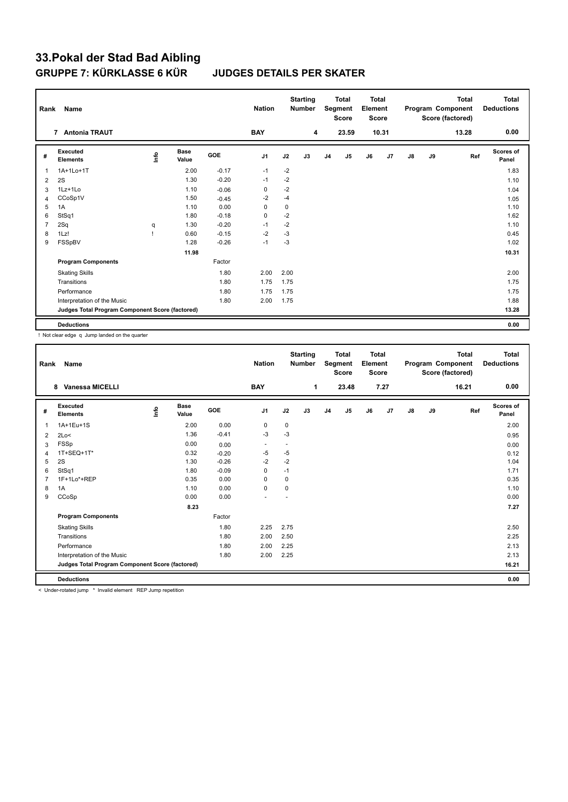## **33.Pokal der Stad Bad Aibling GRUPPE 7: KÜRKLASSE 6 KÜR JUDGES DETAILS PER SKATER**

| Rank           | Name                                            |      |                      |            | <b>Nation</b>  |      | <b>Starting</b><br><b>Number</b> |                | <b>Total</b><br>Segment<br><b>Score</b> | <b>Total</b><br>Element<br><b>Score</b> |                |    |    | <b>Total</b><br>Program Component<br>Score (factored) | Total<br><b>Deductions</b> |
|----------------|-------------------------------------------------|------|----------------------|------------|----------------|------|----------------------------------|----------------|-----------------------------------------|-----------------------------------------|----------------|----|----|-------------------------------------------------------|----------------------------|
|                | <b>Antonia TRAUT</b><br>$\overline{7}$          |      |                      |            | <b>BAY</b>     |      | 4                                |                | 23.59                                   |                                         | 10.31          |    |    | 13.28                                                 | 0.00                       |
| #              | Executed<br><b>Elements</b>                     | ١nfo | <b>Base</b><br>Value | <b>GOE</b> | J <sub>1</sub> | J2   | J3                               | J <sub>4</sub> | J <sub>5</sub>                          | J6                                      | J <sub>7</sub> | J8 | J9 | Ref                                                   | <b>Scores of</b><br>Panel  |
| $\overline{1}$ | 1A+1Lo+1T                                       |      | 2.00                 | $-0.17$    | $-1$           | $-2$ |                                  |                |                                         |                                         |                |    |    |                                                       | 1.83                       |
| 2              | 2S                                              |      | 1.30                 | $-0.20$    | $-1$           | $-2$ |                                  |                |                                         |                                         |                |    |    |                                                       | 1.10                       |
| 3              | 1Lz+1Lo                                         |      | 1.10                 | $-0.06$    | 0              | $-2$ |                                  |                |                                         |                                         |                |    |    |                                                       | 1.04                       |
| $\overline{4}$ | CCoSp1V                                         |      | 1.50                 | $-0.45$    | $-2$           | -4   |                                  |                |                                         |                                         |                |    |    |                                                       | 1.05                       |
| 5              | 1A                                              |      | 1.10                 | 0.00       | 0              | 0    |                                  |                |                                         |                                         |                |    |    |                                                       | 1.10                       |
| 6              | StSq1                                           |      | 1.80                 | $-0.18$    | 0              | $-2$ |                                  |                |                                         |                                         |                |    |    |                                                       | 1.62                       |
| $\overline{7}$ | 2Sq                                             | q    | 1.30                 | $-0.20$    | $-1$           | $-2$ |                                  |                |                                         |                                         |                |    |    |                                                       | 1.10                       |
| 8              | 1Lz!                                            |      | 0.60                 | $-0.15$    | $-2$           | -3   |                                  |                |                                         |                                         |                |    |    |                                                       | 0.45                       |
| 9              | FSSpBV                                          |      | 1.28                 | $-0.26$    | $-1$           | -3   |                                  |                |                                         |                                         |                |    |    |                                                       | 1.02                       |
|                |                                                 |      | 11.98                |            |                |      |                                  |                |                                         |                                         |                |    |    |                                                       | 10.31                      |
|                | <b>Program Components</b>                       |      |                      | Factor     |                |      |                                  |                |                                         |                                         |                |    |    |                                                       |                            |
|                | <b>Skating Skills</b>                           |      |                      | 1.80       | 2.00           | 2.00 |                                  |                |                                         |                                         |                |    |    |                                                       | 2.00                       |
|                | Transitions                                     |      |                      | 1.80       | 1.75           | 1.75 |                                  |                |                                         |                                         |                |    |    |                                                       | 1.75                       |
|                | Performance                                     |      |                      | 1.80       | 1.75           | 1.75 |                                  |                |                                         |                                         |                |    |    |                                                       | 1.75                       |
|                | Interpretation of the Music                     |      |                      | 1.80       | 2.00           | 1.75 |                                  |                |                                         |                                         |                |    |    |                                                       | 1.88                       |
|                | Judges Total Program Component Score (factored) |      |                      |            |                |      |                                  |                |                                         |                                         |                |    |    |                                                       | 13.28                      |
|                | <b>Deductions</b>                               |      |                      |            |                |      |                                  |                |                                         |                                         |                |    |    |                                                       | 0.00                       |

! Not clear edge q Jump landed on the quarter

| Rank           | Name                                            |      |                      |         | <b>Nation</b>            |                          | <b>Starting</b><br><b>Number</b> |                | <b>Total</b><br>Segment<br><b>Score</b> | <b>Total</b><br>Element<br><b>Score</b> |      |               |    | <b>Total</b><br>Program Component<br>Score (factored) | <b>Total</b><br><b>Deductions</b> |
|----------------|-------------------------------------------------|------|----------------------|---------|--------------------------|--------------------------|----------------------------------|----------------|-----------------------------------------|-----------------------------------------|------|---------------|----|-------------------------------------------------------|-----------------------------------|
|                | <b>Vanessa MICELLI</b><br>8                     |      |                      |         | <b>BAY</b>               |                          | $\mathbf{1}$                     |                | 23.48                                   |                                         | 7.27 |               |    | 16.21                                                 | 0.00                              |
| #              | Executed<br><b>Elements</b>                     | Info | <b>Base</b><br>Value | GOE     | J1                       | J2                       | J3                               | J <sub>4</sub> | J5                                      | J6                                      | J7   | $\mathsf{J}8$ | J9 | Ref                                                   | <b>Scores of</b><br>Panel         |
| $\mathbf{1}$   | 1A+1Eu+1S                                       |      | 2.00                 | 0.00    | $\mathbf 0$              | 0                        |                                  |                |                                         |                                         |      |               |    |                                                       | 2.00                              |
| 2              | 2Lo<                                            |      | 1.36                 | $-0.41$ | -3                       | $-3$                     |                                  |                |                                         |                                         |      |               |    |                                                       | 0.95                              |
| 3              | <b>FSSp</b>                                     |      | 0.00                 | 0.00    | $\overline{\phantom{a}}$ | $\overline{\phantom{a}}$ |                                  |                |                                         |                                         |      |               |    |                                                       | 0.00                              |
| $\overline{4}$ | 1T+SEQ+1T*                                      |      | 0.32                 | $-0.20$ | $-5$                     | $-5$                     |                                  |                |                                         |                                         |      |               |    |                                                       | 0.12                              |
| 5              | 2S                                              |      | 1.30                 | $-0.26$ | $-2$                     | $-2$                     |                                  |                |                                         |                                         |      |               |    |                                                       | 1.04                              |
| 6              | StSq1                                           |      | 1.80                 | $-0.09$ | $\mathbf 0$              | $-1$                     |                                  |                |                                         |                                         |      |               |    |                                                       | 1.71                              |
| $\overline{7}$ | 1F+1Lo*+REP                                     |      | 0.35                 | 0.00    | 0                        | 0                        |                                  |                |                                         |                                         |      |               |    |                                                       | 0.35                              |
| 8              | 1A                                              |      | 1.10                 | 0.00    | $\mathbf 0$              | 0                        |                                  |                |                                         |                                         |      |               |    |                                                       | 1.10                              |
| 9              | CCoSp                                           |      | 0.00                 | 0.00    | $\overline{\phantom{a}}$ | ٠                        |                                  |                |                                         |                                         |      |               |    |                                                       | 0.00                              |
|                |                                                 |      | 8.23                 |         |                          |                          |                                  |                |                                         |                                         |      |               |    |                                                       | 7.27                              |
|                | <b>Program Components</b>                       |      |                      | Factor  |                          |                          |                                  |                |                                         |                                         |      |               |    |                                                       |                                   |
|                | <b>Skating Skills</b>                           |      |                      | 1.80    | 2.25                     | 2.75                     |                                  |                |                                         |                                         |      |               |    |                                                       | 2.50                              |
|                | Transitions                                     |      |                      | 1.80    | 2.00                     | 2.50                     |                                  |                |                                         |                                         |      |               |    |                                                       | 2.25                              |
|                | Performance                                     |      |                      | 1.80    | 2.00                     | 2.25                     |                                  |                |                                         |                                         |      |               |    |                                                       | 2.13                              |
|                | Interpretation of the Music                     |      |                      | 1.80    | 2.00                     | 2.25                     |                                  |                |                                         |                                         |      |               |    |                                                       | 2.13                              |
|                | Judges Total Program Component Score (factored) |      |                      |         |                          |                          |                                  |                |                                         |                                         |      |               |    |                                                       | 16.21                             |
|                | <b>Deductions</b>                               |      |                      |         |                          |                          |                                  |                |                                         |                                         |      |               |    |                                                       | 0.00                              |
|                | $\cdots$<br>.                                   |      |                      |         |                          |                          |                                  |                |                                         |                                         |      |               |    |                                                       |                                   |

< Under-rotated jump \* Invalid element REP Jump repetition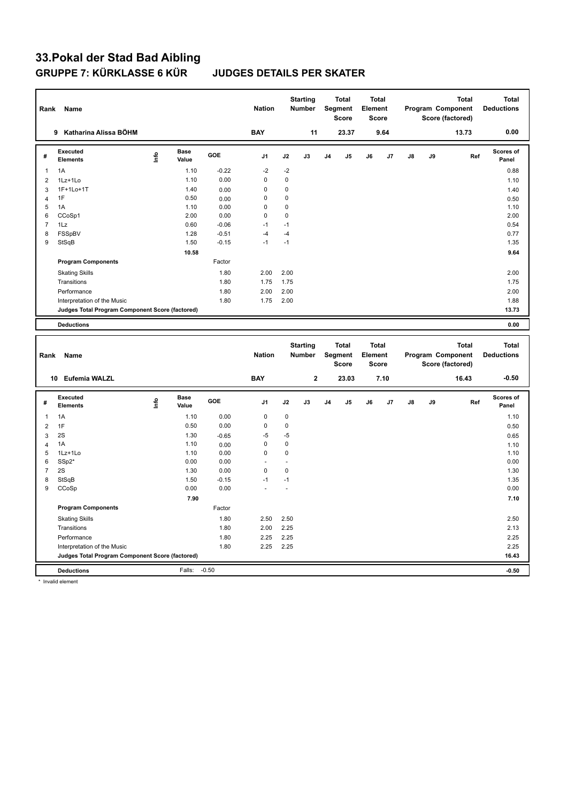# **33.Pokal der Stad Bad Aibling**

### **JUDGES DETAILS PER SKATER**

| Rank             | Name                                            |             |                      |         | <b>Nation</b> |                | <b>Starting</b><br><b>Number</b> |                | <b>Total</b><br>Segment<br>Score | <b>Total</b><br>Element<br><b>Score</b> |      |    |    | <b>Total</b><br>Program Component<br>Score (factored) |     | <b>Total</b><br><b>Deductions</b> |
|------------------|-------------------------------------------------|-------------|----------------------|---------|---------------|----------------|----------------------------------|----------------|----------------------------------|-----------------------------------------|------|----|----|-------------------------------------------------------|-----|-----------------------------------|
|                  | 9 Katharina Alissa BÖHM                         |             |                      |         | <b>BAY</b>    |                | 11                               |                | 23.37                            |                                         | 9.64 |    |    | 13.73                                                 |     | 0.00                              |
| #                | <b>Executed</b><br><b>Elements</b>              | <u>info</u> | <b>Base</b><br>Value | GOE     | J1            | J2             | J3                               | J <sub>4</sub> | J5                               | J6                                      | J7   | J8 | J9 |                                                       | Ref | Scores of<br>Panel                |
| $\mathbf{1}$     | 1A                                              |             | 1.10                 | $-0.22$ | $-2$          | $-2$           |                                  |                |                                  |                                         |      |    |    |                                                       |     | 0.88                              |
| $\overline{2}$   | 1Lz+1Lo                                         |             | 1.10                 | 0.00    | $\mathbf 0$   | $\mathbf 0$    |                                  |                |                                  |                                         |      |    |    |                                                       |     | 1.10                              |
| 3                | 1F+1Lo+1T                                       |             | 1.40                 | 0.00    | $\mathbf 0$   | $\mathbf 0$    |                                  |                |                                  |                                         |      |    |    |                                                       |     | 1.40                              |
| $\overline{4}$   | 1F                                              |             | 0.50                 | 0.00    | $\mathbf 0$   | $\mathbf 0$    |                                  |                |                                  |                                         |      |    |    |                                                       |     | 0.50                              |
| 5                | 1A                                              |             | 1.10                 | 0.00    | $\mathbf 0$   | $\mathbf 0$    |                                  |                |                                  |                                         |      |    |    |                                                       |     | 1.10                              |
| 6                | CCoSp1                                          |             | 2.00                 | 0.00    | $\mathbf 0$   | $\mathbf 0$    |                                  |                |                                  |                                         |      |    |    |                                                       |     | 2.00                              |
| $\overline{7}$   | 1Lz                                             |             | 0.60                 | $-0.06$ | $-1$          | $-1$           |                                  |                |                                  |                                         |      |    |    |                                                       |     | 0.54                              |
| 8                | FSSpBV                                          |             | 1.28                 | $-0.51$ | $-4$          | $-4$           |                                  |                |                                  |                                         |      |    |    |                                                       |     | 0.77                              |
| 9                | StSqB                                           |             | 1.50                 | $-0.15$ | $-1$          | $-1$           |                                  |                |                                  |                                         |      |    |    |                                                       |     | 1.35                              |
|                  |                                                 |             | 10.58                |         |               |                |                                  |                |                                  |                                         |      |    |    |                                                       |     | 9.64                              |
|                  | <b>Program Components</b>                       |             |                      | Factor  |               |                |                                  |                |                                  |                                         |      |    |    |                                                       |     |                                   |
|                  | <b>Skating Skills</b>                           |             |                      | 1.80    | 2.00          | 2.00           |                                  |                |                                  |                                         |      |    |    |                                                       |     | 2.00                              |
|                  | Transitions                                     |             |                      | 1.80    | 1.75          | 1.75           |                                  |                |                                  |                                         |      |    |    |                                                       |     | 1.75                              |
|                  | Performance                                     |             |                      | 1.80    | 2.00          | 2.00           |                                  |                |                                  |                                         |      |    |    |                                                       |     | 2.00                              |
|                  | Interpretation of the Music                     |             |                      | 1.80    | 1.75          | 2.00           |                                  |                |                                  |                                         |      |    |    |                                                       |     | 1.88                              |
|                  | Judges Total Program Component Score (factored) |             |                      |         |               |                |                                  |                |                                  |                                         |      |    |    |                                                       |     | 13.73                             |
|                  | <b>Deductions</b>                               |             |                      |         |               |                |                                  |                |                                  |                                         |      |    |    |                                                       |     | 0.00                              |
|                  |                                                 |             |                      |         |               |                |                                  |                |                                  |                                         |      |    |    |                                                       |     |                                   |
|                  |                                                 |             |                      |         |               |                |                                  |                |                                  |                                         |      |    |    |                                                       |     |                                   |
| Rank             | <b>Name</b>                                     |             |                      |         | <b>Nation</b> |                | <b>Starting</b><br><b>Number</b> |                | Total<br>Segment<br><b>Score</b> | <b>Total</b><br>Element<br><b>Score</b> |      |    |    | <b>Total</b><br>Program Component<br>Score (factored) |     | <b>Total</b><br><b>Deductions</b> |
|                  | 10 Eufemia WALZL                                |             |                      |         | <b>BAY</b>    |                | $\mathbf 2$                      |                | 23.03                            |                                         | 7.10 |    |    | 16.43                                                 |     | $-0.50$                           |
| #                | <b>Executed</b><br><b>Elements</b>              | Info        | <b>Base</b><br>Value | GOE     | J1            | J2             | J3                               | J <sub>4</sub> | J5                               | J6                                      | J7   | J8 | J9 |                                                       | Ref | <b>Scores of</b><br>Panel         |
| $\mathbf{1}$     | 1A                                              |             | 1.10                 | 0.00    | $\mathbf 0$   | $\mathbf 0$    |                                  |                |                                  |                                         |      |    |    |                                                       |     | 1.10                              |
| $\overline{2}$   | 1F                                              |             | 0.50                 | 0.00    | $\mathbf 0$   | $\mathbf 0$    |                                  |                |                                  |                                         |      |    |    |                                                       |     | 0.50                              |
| $\mathbf{3}$     | 2S                                              |             | 1.30                 | $-0.65$ | $-5$          | $-5$           |                                  |                |                                  |                                         |      |    |    |                                                       |     | 0.65                              |
| $\overline{4}$   | 1A                                              |             | 1.10                 | 0.00    | $\mathbf 0$   | 0              |                                  |                |                                  |                                         |      |    |    |                                                       |     | 1.10                              |
| 5                | 1Lz+1Lo                                         |             | 1.10                 | 0.00    | $\mathbf 0$   | $\mathbf 0$    |                                  |                |                                  |                                         |      |    |    |                                                       |     | 1.10                              |
| 6                | SSp2*                                           |             | 0.00                 | 0.00    | ÷.            | ÷.             |                                  |                |                                  |                                         |      |    |    |                                                       |     | 0.00                              |
| $\overline{7}$   | 2S                                              |             | 1.30                 | 0.00    | $\mathbf 0$   | $\mathbf 0$    |                                  |                |                                  |                                         |      |    |    |                                                       |     | 1.30                              |
| 8                | StSqB                                           |             | 1.50                 | $-0.15$ | $-1$          | $-1$           |                                  |                |                                  |                                         |      |    |    |                                                       |     | 1.35                              |
| $\boldsymbol{9}$ | CCoSp                                           |             | 0.00                 | 0.00    |               | $\overline{a}$ |                                  |                |                                  |                                         |      |    |    |                                                       |     | 0.00                              |
|                  |                                                 |             | 7.90                 |         |               |                |                                  |                |                                  |                                         |      |    |    |                                                       |     | 7.10                              |
|                  | <b>Program Components</b>                       |             |                      | Factor  |               |                |                                  |                |                                  |                                         |      |    |    |                                                       |     |                                   |
|                  | <b>Skating Skills</b>                           |             |                      | 1.80    | 2.50          | 2.50           |                                  |                |                                  |                                         |      |    |    |                                                       |     | 2.50                              |
|                  | Transitions                                     |             |                      | 1.80    | 2.00          | 2.25           |                                  |                |                                  |                                         |      |    |    |                                                       |     | 2.13                              |
|                  | Performance                                     |             |                      | 1.80    | 2.25          | 2.25           |                                  |                |                                  |                                         |      |    |    |                                                       |     | 2.25                              |
|                  | Interpretation of the Music                     |             |                      | 1.80    | 2.25          | 2.25           |                                  |                |                                  |                                         |      |    |    |                                                       |     | 2.25                              |
|                  | Judges Total Program Component Score (factored) |             |                      |         |               |                |                                  |                |                                  |                                         |      |    |    |                                                       |     | 16.43                             |

\* Invalid element